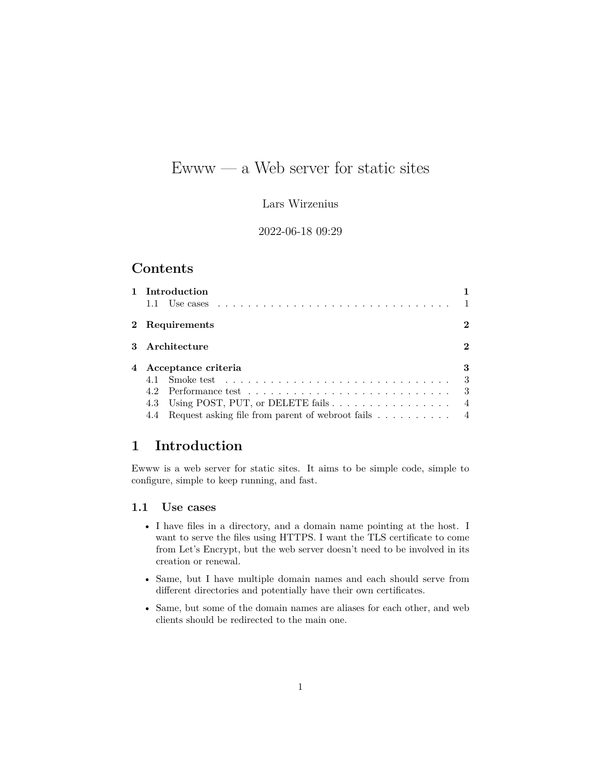# Ewww — a Web server for static sites

### Lars Wirzenius

### 2022-06-18 09:29

# **Contents**

| 1 Introduction                                                              |                |
|-----------------------------------------------------------------------------|----------------|
| 2 Requirements                                                              | 2              |
| 3 Architecture                                                              | $\bf{2}$       |
| 4 Acceptance criteria                                                       | 3              |
|                                                                             | 3              |
|                                                                             | - 3            |
| 4.3 Using POST, PUT, or DELETE fails                                        | $\overline{4}$ |
| Request asking file from parent of webroot fails $\dots \dots \dots$<br>4.4 |                |

# <span id="page-0-0"></span>**1 Introduction**

Ewww is a web server for static sites. It aims to be simple code, simple to configure, simple to keep running, and fast.

## <span id="page-0-1"></span>**1.1 Use cases**

- I have files in a directory, and a domain name pointing at the host. I want to serve the files using HTTPS. I want the TLS certificate to come from Let's Encrypt, but the web server doesn't need to be involved in its creation or renewal.
- Same, but I have multiple domain names and each should serve from different directories and potentially have their own certificates.
- Same, but some of the domain names are aliases for each other, and web clients should be redirected to the main one.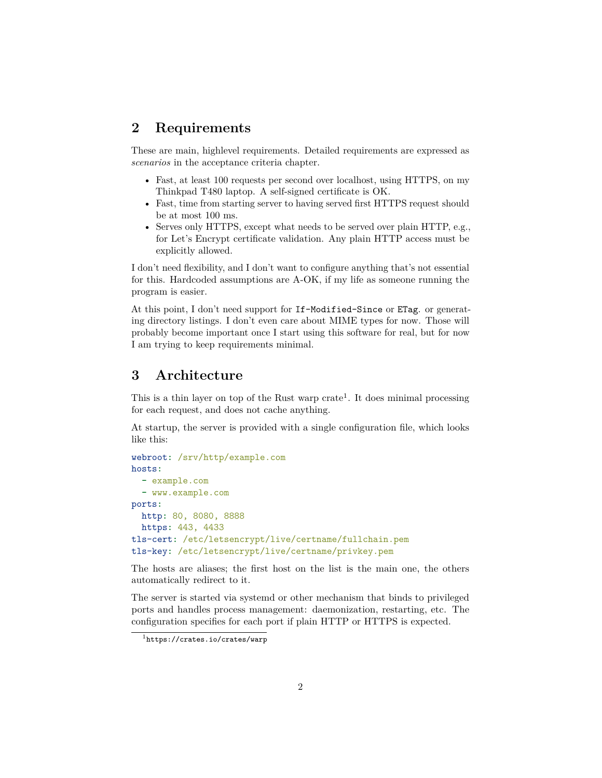# <span id="page-1-0"></span>**2 Requirements**

These are main, highlevel requirements. Detailed requirements are expressed as *scenarios* in the acceptance criteria chapter.

- Fast, at least 100 requests per second over localhost, using HTTPS, on my Thinkpad T480 laptop. A self-signed certificate is OK.
- Fast, time from starting server to having served first HTTPS request should be at most 100 ms.
- Serves only HTTPS, except what needs to be served over plain HTTP, e.g., for Let's Encrypt certificate validation. Any plain HTTP access must be explicitly allowed.

I don't need flexibility, and I don't want to configure anything that's not essential for this. Hardcoded assumptions are A-OK, if my life as someone running the program is easier.

At this point, I don't need support for If-Modified-Since or ETag. or generating directory listings. I don't even care about MIME types for now. Those will probably become important once I start using this software for real, but for now I am trying to keep requirements minimal.

## <span id="page-1-1"></span>**3 Architecture**

This is a thin layer on top of the Rust warp crate<sup>[1](#page-1-2)</sup>. It does minimal processing for each request, and does not cache anything.

At startup, the server is provided with a single configuration file, which looks like this:

```
webroot: /srv/http/example.com
hosts:
  - example.com
  - www.example.com
ports:
 http: 80, 8080, 8888
 https: 443, 4433
tls-cert: /etc/letsencrypt/live/certname/fullchain.pem
tls-key: /etc/letsencrypt/live/certname/privkey.pem
```
The hosts are aliases; the first host on the list is the main one, the others automatically redirect to it.

The server is started via systemd or other mechanism that binds to privileged ports and handles process management: daemonization, restarting, etc. The configuration specifies for each port if plain HTTP or HTTPS is expected.

<span id="page-1-2"></span> $1$ <https://crates.io/crates/warp>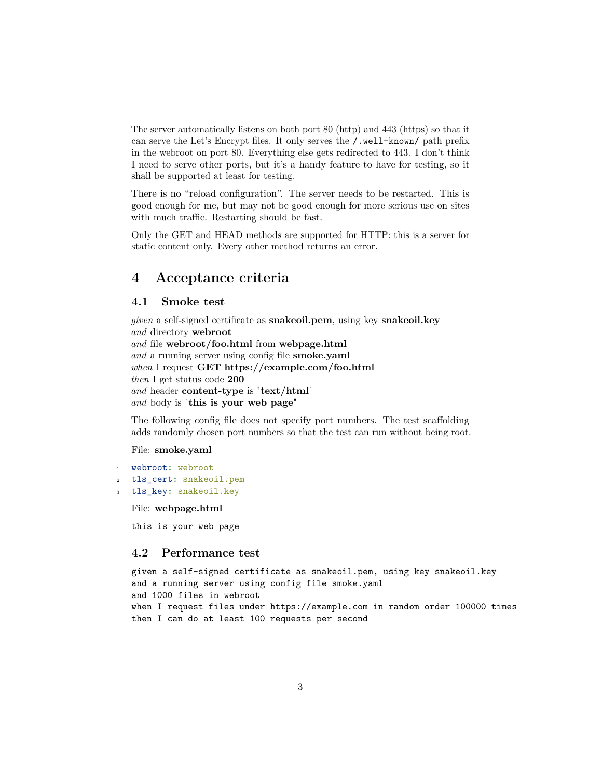The server automatically listens on both port 80 (http) and 443 (https) so that it can serve the Let's Encrypt files. It only serves the /.well-known/ path prefix in the webroot on port 80. Everything else gets redirected to 443. I don't think I need to serve other ports, but it's a handy feature to have for testing, so it shall be supported at least for testing.

There is no "reload configuration". The server needs to be restarted. This is good enough for me, but may not be good enough for more serious use on sites with much traffic. Restarting should be fast.

Only the GET and HEAD methods are supported for HTTP: this is a server for static content only. Every other method returns an error.

# <span id="page-2-0"></span>**4 Acceptance criteria**

## <span id="page-2-1"></span>**4.1 Smoke test**

*given* a self-signed certificate as **snakeoil.pem**, using key **snakeoil.key** *and* directory **webroot** *and* file **webroot/foo.html** from **webpage.html** *and* a running server using config file **smoke.yaml** *when* I request **GET https://example.com/foo.html** *then* I get status code **200** *and* header **content-type** is "**text/html**" *and* body is "**this is your web page**"

The following config file does not specify port numbers. The test scaffolding adds randomly chosen port numbers so that the test can run without being root.

#### File: **smoke.yaml**

- <sup>1</sup> webroot**:** webroot
- <sup>2</sup> tls\_cert**:** snakeoil.pem
- <sup>3</sup> tls\_key**:** snakeoil.key

File: **webpage.html**

1 this is your web page

#### <span id="page-2-2"></span>**4.2 Performance test**

```
given a self-signed certificate as snakeoil.pem, using key snakeoil.key
and a running server using config file smoke.yaml
and 1000 files in webroot
when I request files under https://example.com in random order 100000 times
then I can do at least 100 requests per second
```